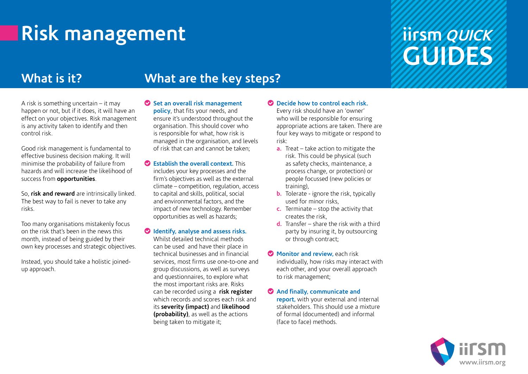## **Risk management**

### **iirsm QUICK GUIDES**

### **What is it? What are the key steps?**

A risk is something uncertain – it may happen or not, but if it does, it will have an effect on your objectives. Risk management is any activity taken to identify and then control risk.

Good risk management is fundamental to effective business decision making. It will minimise the probability of failure from hazards and will increase the likelihood of success from **opportunities**.

So, **risk and reward** are intrinsically linked. The best way to fail is never to take any risks.

Too many organisations mistakenly focus on the risk that's been in the news this month, instead of being guided by their own key processes and strategic objectives.

Instead, you should take a holistic joinedup approach.

- **Set an overall risk management policy**, that fits your needs, and ensure it's understood throughout the organisation. This should cover who is responsible for what, how risk is managed in the organisation, and levels of risk that can and cannot be taken;
- **Establish the overall context.** This includes your key processes and the firm's objectives as well as the external climate – competition, regulation, access to capital and skills, political, social and environmental factors, and the impact of new technology. Remember opportunities as well as hazards;
- **Identify, analyse and assess risks.** Whilst detailed technical methods can be used and have their place in technical businesses and in financial services, most firms use one-to-one and group discussions, as well as surveys and questionnaires, to explore what the most important risks are. Risks can be recorded using a **risk register** which records and scores each risk and its **severity (impact)** and **likelihood (probability)**, as well as the actions being taken to mitigate it;

**Decide how to control each risk.**

Every risk should have an 'owner' who will be responsible for ensuring appropriate actions are taken. There are four key ways to mitigate or respond to risk:

- **a.** Treat take action to mitigate the risk. This could be physical (such as safety checks, maintenance, a process change, or protection) or people focussed (new policies or training),
- **b.** Tolerate ignore the risk, typically used for minor risks,
- **c.** Terminate stop the activity that creates the risk,
- **d.** Transfer share the risk with a third party by insuring it, by outsourcing or through contract;
- **Monitor and review,** each risk individually, how risks may interact with each other, and your overall approach to risk management;
- **And finally, communicate and report,** with your external and internal stakeholders. This should use a mixture of formal (documented) and informal (face to face) methods.

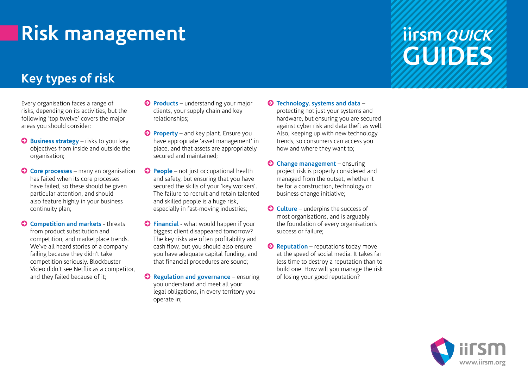# **Risk management**

### **iirsm QUICK GUIDES**

### **Key types of risk**

Every organisation faces a range of risks, depending on its activities, but the following 'top twelve' covers the major areas you should consider:

- **Business strategy** risks to your key objectives from inside and outside the organisation;
- **Core processes**  many an organisation has failed when its core processes have failed, so these should be given particular attention, and should also feature highly in your business continuity plan;
- **C** Competition and markets threats from product substitution and competition, and marketplace trends. We've all heard stories of a company failing because they didn't take competition seriously. Blockbuster Video didn't see Netflix as a competitor, and they failed because of it;
- **Products** understanding your major clients, your supply chain and key relationships;
- **Property** and key plant. Ensure you have appropriate 'asset management' in place, and that assets are appropriately secured and maintained;
- **People** not just occupational health and safety, but ensuring that you have secured the skills of your 'key workers'. The failure to recruit and retain talented and skilled people is a huge risk, especially in fast-moving industries;
- **Financial** what would happen if your biggest client disappeared tomorrow? The key risks are often profitability and cash flow, but you should also ensure you have adequate capital funding, and that financial procedures are sound;
- **C** Regulation and governance ensuring you understand and meet all your legal obligations, in every territory you operate in;
- **Technology, systems and data** protecting not just your systems and hardware, but ensuring you are secured
	- against cyber risk and data theft as well. Also, keeping up with new technology trends, so consumers can access you how and where they want to;
- **Change management**  ensuring project risk is properly considered and managed from the outset, whether it be for a construction, technology or business change initiative;
- **Culture** underpins the success of most organisations, and is arguably the foundation of every organisation's success or failure;
- **C** Reputation reputations today move at the speed of social media. It takes far less time to destroy a reputation than to build one. How will you manage the risk of losing your good reputation?